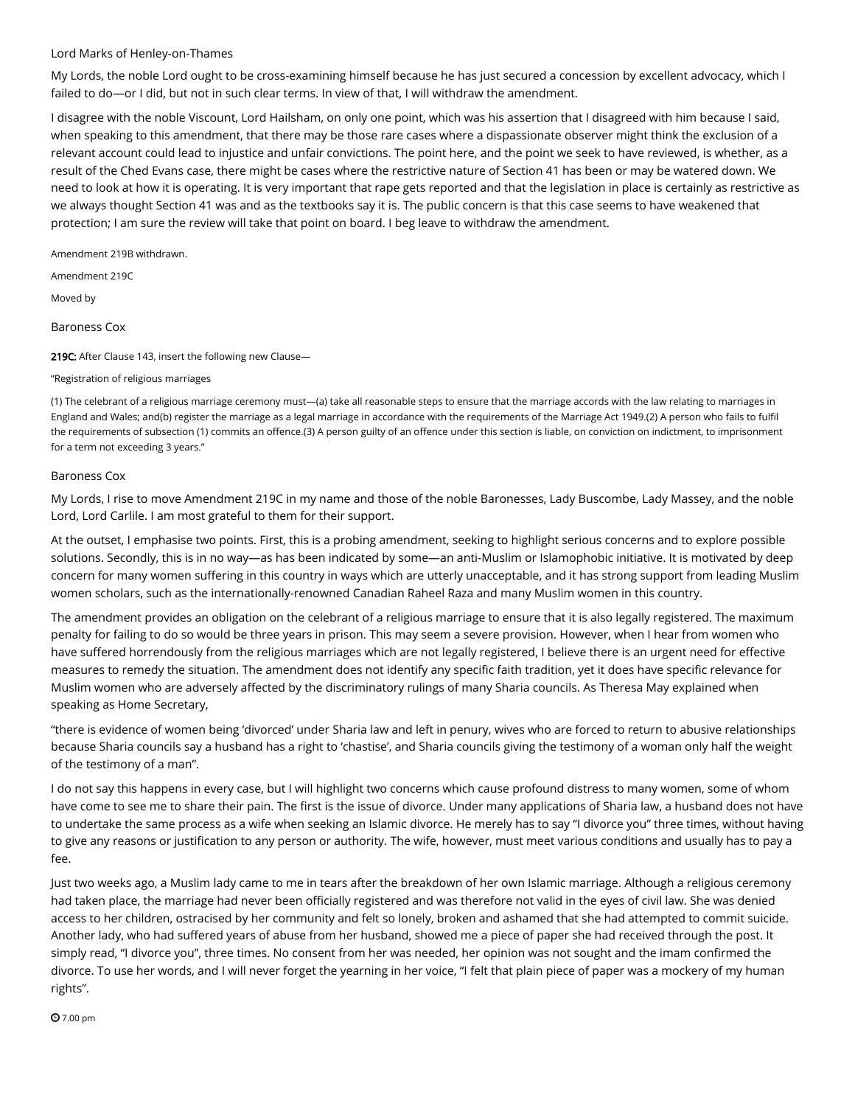## Lord Marks of [Henley-on-Thames](https://hansard.parliament.uk/search/MemberContributions?house=Lords&memberId=4206)

My Lords, the noble Lord ought to be cross-examining himself because he has just secured a concession by excellent advocacy, which I failed to do—or I did, but not in such clear terms. In view of that, I will withdraw the amendment.

I disagree with the noble Viscount, Lord Hailsham, on only one point, which was his assertion that I disagreed with him because I said, when speaking to this amendment, that there may be those rare cases where a dispassionate observer might think the exclusion of a relevant account could lead to injustice and unfair convictions. The point here, and the point we seek to have reviewed, is whether, as a result of the Ched Evans case, there might be cases where the restrictive nature of Section 41 has been or may be watered down. We need to look at how it is operating. It is very important that rape gets reported and that the legislation in place is certainly as restrictive as we always thought Section 41 was and as the textbooks say it is. The public concern is that this case seems to have weakened that protection; I am sure the review will take that point on board. I beg leave to withdraw the amendment.

Amendment 219B withdrawn.

Amendment 219C

Moved by

[Baroness](https://hansard.parliament.uk/search/MemberContributions?house=Lords&memberId=3364) Cox

219C: After Clause 143, insert the following new Clause-

#### "Registration of religious marriages

(1) The celebrant of a religious marriage ceremony must—(a) take all reasonable steps to ensure that the marriage accords with the law relating to marriages in England and Wales; and(b) register the marriage as a legal marriage in accordance with the requirements of the Marriage Act 1949.(2) A person who fails to fulfil the requirements of subsection (1) commits an offence.(3) A person guilty of an offence under this section is liable, on conviction on indictment, to imprisonment for a term not exceeding 3 years."

## [Baroness](https://hansard.parliament.uk/search/MemberContributions?house=Lords&memberId=3364) Cox

My Lords, I rise to move Amendment 219C in my name and those of the noble Baronesses, Lady Buscombe, Lady Massey, and the noble Lord, Lord Carlile. I am most grateful to them for their support.

At the outset, I emphasise two points. First, this is a probing amendment, seeking to highlight serious concerns and to explore possible solutions. Secondly, this is in no way—as has been indicated by some—an anti-Muslim or Islamophobic initiative. It is motivated by deep concern for many women suffering in this country in ways which are utterly unacceptable, and it has strong support from leading Muslim women scholars, such as the internationally-renowned Canadian Raheel Raza and many Muslim women in this country.

The amendment provides an obligation on the celebrant of a religious marriage to ensure that it is also legally registered. The maximum penalty for failing to do so would be three years in prison. This may seem a severe provision. However, when I hear from women who have suffered horrendously from the religious marriages which are not legally registered, I believe there is an urgent need for effective measures to remedy the situation. The amendment does not identify any specific faith tradition, yet it does have specific relevance for Muslim women who are adversely affected by the discriminatory rulings of many Sharia councils. As Theresa May explained when speaking as Home Secretary,

"there is evidence of women being 'divorced' under Sharia law and left in penury, wives who are forced to return to abusive relationships because Sharia councils say a husband has a right to 'chastise', and Sharia councils giving the testimony of a woman only half the weight of the testimony of a man".

I do not say this happens in every case, but I will highlight two concerns which cause profound distress to many women, some of whom have come to see me to share their pain. The first is the issue of divorce. Under many applications of Sharia law, a husband does not have to undertake the same process as a wife when seeking an Islamic divorce. He merely has to say "I divorce you" three times, without having to give any reasons or justification to any person or authority. The wife, however, must meet various conditions and usually has to pay a fee.

Just two weeks ago, a Muslim lady came to me in tears after the breakdown of her own Islamic marriage. Although a religious ceremony had taken place, the marriage had never been officially registered and was therefore not valid in the eyes of civil law. She was denied access to her children, ostracised by her community and felt so lonely, broken and ashamed that she had attempted to commit suicide. Another lady, who had suffered years of abuse from her husband, showed me a piece of paper she had received through the post. It simply read, "I divorce you", three times. No consent from her was needed, her opinion was not sought and the imam confirmed the divorce. To use her words, and I will never forget the yearning in her voice, "I felt that plain piece of paper was a mockery of my human rights".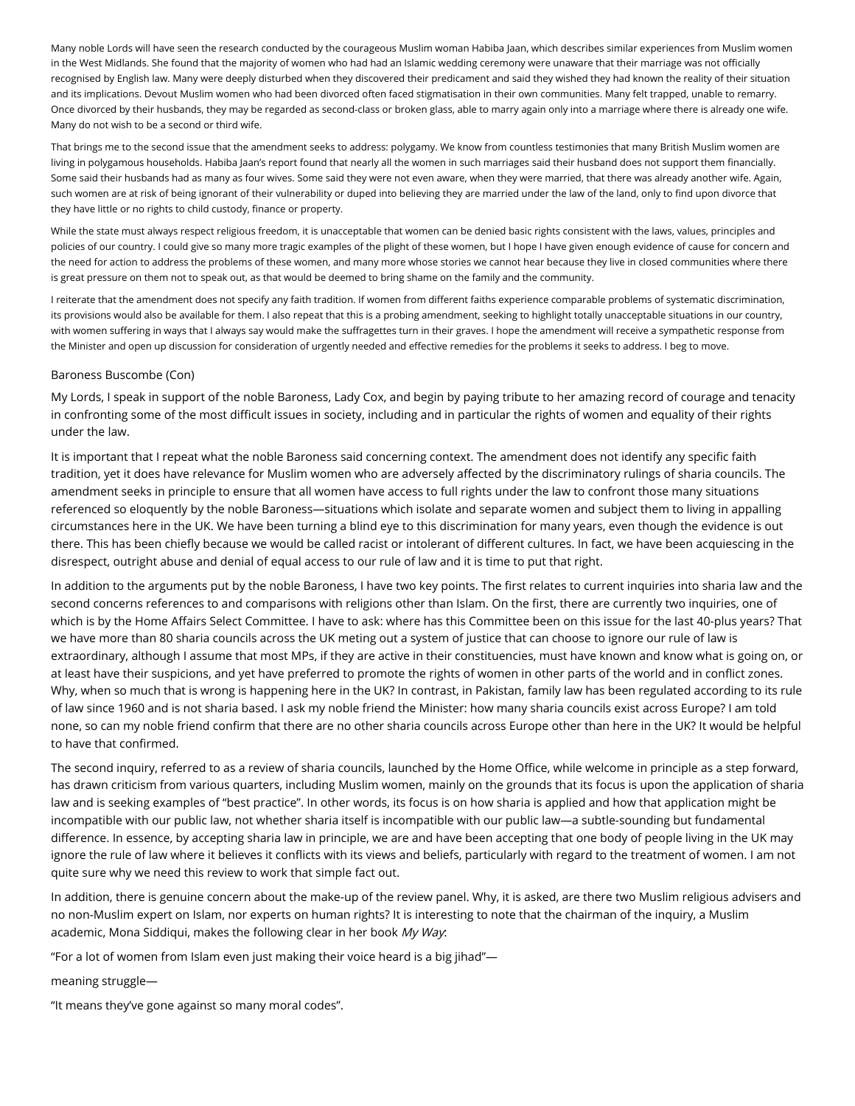Many noble Lords will have seen the research conducted by the courageous Muslim woman Habiba Jaan, which describes similar experiences from Muslim women in the West Midlands. She found that the majority of women who had had an Islamic wedding ceremony were unaware that their marriage was not officially recognised by English law. Many were deeply disturbed when they discovered their predicament and said they wished they had known the reality of their situation and its implications. Devout Muslim women who had been divorced often faced stigmatisation in their own communities. Many felt trapped, unable to remarry. Once divorced by their husbands, they may be regarded as second-class or broken glass, able to marry again only into a marriage where there is already one wife. Many do not wish to be a second or third wife.

That brings me to the second issue that the amendment seeks to address: polygamy. We know from countless testimonies that many British Muslim women are living in polygamous households. Habiba Jaan's report found that nearly all the women in such marriages said their husband does not support them financially. Some said their husbands had as many as four wives. Some said they were not even aware, when they were married, that there was already another wife. Again, such women are at risk of being ignorant of their vulnerability or duped into believing they are married under the law of the land, only to find upon divorce that they have little or no rights to child custody, finance or property.

While the state must always respect religious freedom, it is unacceptable that women can be denied basic rights consistent with the laws, values, principles and policies of our country. I could give so many more tragic examples of the plight of these women, but I hope I have given enough evidence of cause for concern and the need for action to address the problems of these women, and many more whose stories we cannot hear because they live in closed communities where there is great pressure on them not to speak out, as that would be deemed to bring shame on the family and the community.

I reiterate that the amendment does not specify any faith tradition. If women from different faiths experience comparable problems of systematic discrimination, its provisions would also be available for them. I also repeat that this is a probing amendment, seeking to highlight totally unacceptable situations in our country, with women suffering in ways that I always say would make the suffragettes turn in their graves. I hope the amendment will receive a sympathetic response from the Minister and open up discussion for consideration of urgently needed and effective remedies for the problems it seeks to address. I beg to move.

## Baroness [Buscombe](https://hansard.parliament.uk/search/MemberContributions?house=Lords&memberId=3349) (Con)

My Lords, I speak in support of the noble Baroness, Lady Cox, and begin by paying tribute to her amazing record of courage and tenacity in confronting some of the most difficult issues in society, including and in particular the rights of women and equality of their rights under the law.

It is important that I repeat what the noble Baroness said concerning context. The amendment does not identify any specific faith tradition, yet it does have relevance for Muslim women who are adversely affected by the discriminatory rulings of sharia councils. The amendment seeks in principle to ensure that all women have access to full rights under the law to confront those many situations referenced so eloquently by the noble Baroness—situations which isolate and separate women and subject them to living in appalling circumstances here in the UK. We have been turning a blind eye to this discrimination for many years, even though the evidence is out there. This has been chiefly because we would be called racist or intolerant of different cultures. In fact, we have been acquiescing in the disrespect, outright abuse and denial of equal access to our rule of law and it is time to put that right.

In addition to the arguments put by the noble Baroness, I have two key points. The first relates to current inquiries into sharia law and the second concerns references to and comparisons with religions other than Islam. On the first, there are currently two inquiries, one of which is by the Home Affairs Select Committee. I have to ask: where has this Committee been on this issue for the last 40-plus years? That we have more than 80 sharia councils across the UK meting out a system of justice that can choose to ignore our rule of law is extraordinary, although I assume that most MPs, if they are active in their constituencies, must have known and know what is going on, or at least have their suspicions, and yet have preferred to promote the rights of women in other parts of the world and in conflict zones. Why, when so much that is wrong is happening here in the UK? In contrast, in Pakistan, family law has been regulated according to its rule of law since 1960 and is not sharia based. I ask my noble friend the Minister: how many sharia councils exist across Europe? I am told none, so can my noble friend confirm that there are no other sharia councils across Europe other than here in the UK? It would be helpful to have that confirmed.

The second inquiry, referred to as a review of sharia councils, launched by the Home Office, while welcome in principle as a step forward, has drawn criticism from various quarters, including Muslim women, mainly on the grounds that its focus is upon the application of sharia law and is seeking examples of "best practice". In other words, its focus is on how sharia is applied and how that application might be incompatible with our public law, not whether sharia itself is incompatible with our public law—a subtle-sounding but fundamental difference. In essence, by accepting sharia law in principle, we are and have been accepting that one body of people living in the UK may ignore the rule of law where it believes it conflicts with its views and beliefs, particularly with regard to the treatment of women. I am not quite sure why we need this review to work that simple fact out.

In addition, there is genuine concern about the make-up of the review panel. Why, it is asked, are there two Muslim religious advisers and no non-Muslim expert on Islam, nor experts on human rights? It is interesting to note that the chairman of the inquiry, a Muslim academic, Mona Siddiqui, makes the following clear in her book My Way.

"For a lot of women from Islam even just making their voice heard is a big jihad"—

meaning struggle—

"It means they've gone against so many moral codes".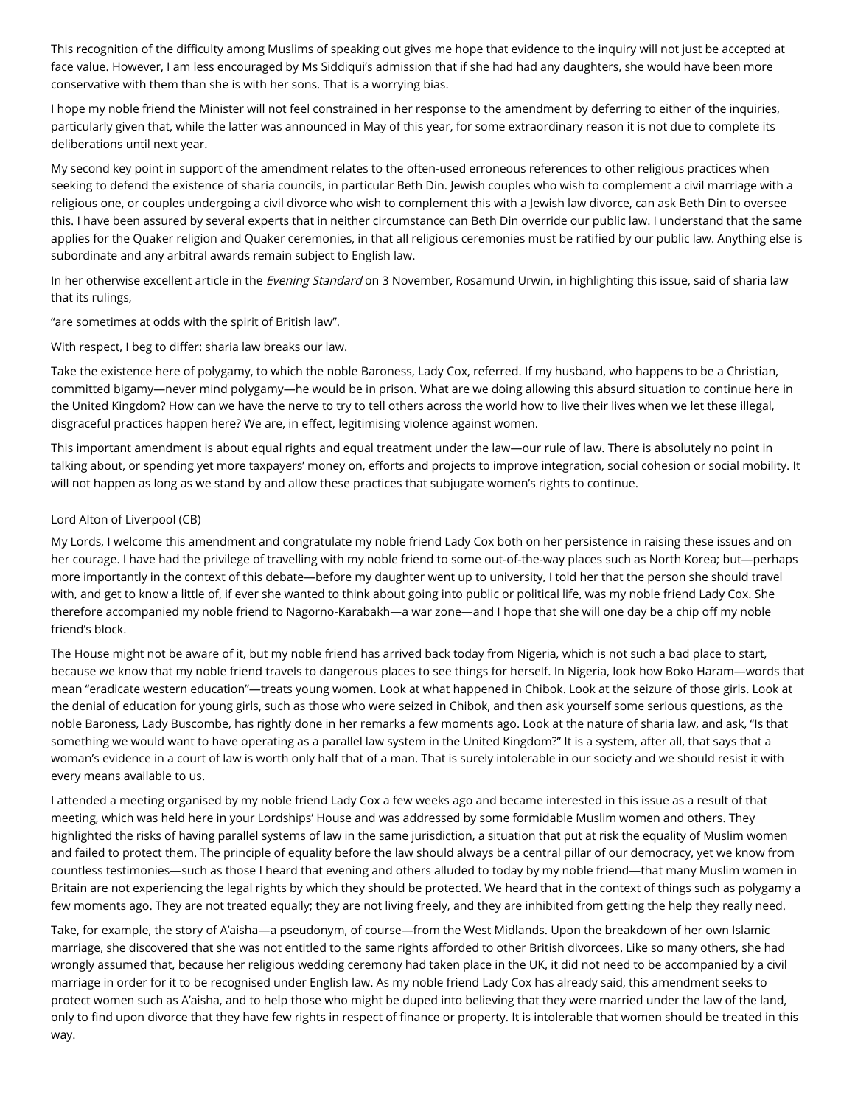This recognition of the difficulty among Muslims of speaking out gives me hope that evidence to the inquiry will not just be accepted at face value. However, I am less encouraged by Ms Siddiqui's admission that if she had had any daughters, she would have been more conservative with them than she is with her sons. That is a worrying bias.

I hope my noble friend the Minister will not feel constrained in her response to the amendment by deferring to either of the inquiries, particularly given that, while the latter was announced in May of this year, for some extraordinary reason it is not due to complete its deliberations until next year.

My second key point in support of the amendment relates to the often-used erroneous references to other religious practices when seeking to defend the existence of sharia councils, in particular Beth Din. Jewish couples who wish to complement a civil marriage with a religious one, or couples undergoing a civil divorce who wish to complement this with a Jewish law divorce, can ask Beth Din to oversee this. I have been assured by several experts that in neither circumstance can Beth Din override our public law. I understand that the same applies for the Quaker religion and Quaker ceremonies, in that all religious ceremonies must be ratified by our public law. Anything else is subordinate and any arbitral awards remain subject to English law.

In her otherwise excellent article in the Evening Standard on 3 November, Rosamund Urwin, in highlighting this issue, said of sharia law that its rulings,

"are sometimes at odds with the spirit of British law".

With respect, I beg to differ: sharia law breaks our law.

Take the existence here of polygamy, to which the noble Baroness, Lady Cox, referred. If my husband, who happens to be a Christian, committed bigamy—never mind polygamy—he would be in prison. What are we doing allowing this absurd situation to continue here in the United Kingdom? How can we have the nerve to try to tell others across the world how to live their lives when we let these illegal, disgraceful practices happen here? We are, in effect, legitimising violence against women.

This important amendment is about equal rights and equal treatment under the law—our rule of law. There is absolutely no point in talking about, or spending yet more taxpayers' money on, efforts and projects to improve integration, social cohesion or social mobility. It will not happen as long as we stand by and allow these practices that subjugate women's rights to continue.

# Lord Alton of [Liverpool](https://hansard.parliament.uk/search/MemberContributions?house=Lords&memberId=738) (CB)

My Lords, I welcome this amendment and congratulate my noble friend Lady Cox both on her persistence in raising these issues and on her courage. I have had the privilege of travelling with my noble friend to some out-of-the-way places such as North Korea; but—perhaps more importantly in the context of this debate—before my daughter went up to university, I told her that the person she should travel with, and get to know a little of, if ever she wanted to think about going into public or political life, was my noble friend Lady Cox. She therefore accompanied my noble friend to Nagorno-Karabakh—a war zone—and I hope that she will one day be a chip off my noble friend's block.

The House might not be aware of it, but my noble friend has arrived back today from Nigeria, which is not such a bad place to start, because we know that my noble friend travels to dangerous places to see things for herself. In Nigeria, look how Boko Haram—words that mean "eradicate western education"—treats young women. Look at what happened in Chibok. Look at the seizure of those girls. Look at the denial of education for young girls, such as those who were seized in Chibok, and then ask yourself some serious questions, as the noble Baroness, Lady Buscombe, has rightly done in her remarks a few moments ago. Look at the nature of sharia law, and ask, "Is that something we would want to have operating as a parallel law system in the United Kingdom?" It is a system, after all, that says that a woman's evidence in a court of law is worth only half that of a man. That is surely intolerable in our society and we should resist it with every means available to us.

I attended a meeting organised by my noble friend Lady Cox a few weeks ago and became interested in this issue as a result of that meeting, which was held here in your Lordships' House and was addressed by some formidable Muslim women and others. They highlighted the risks of having parallel systems of law in the same jurisdiction, a situation that put at risk the equality of Muslim women and failed to protect them. The principle of equality before the law should always be a central pillar of our democracy, yet we know from countless testimonies—such as those I heard that evening and others alluded to today by my noble friend—that many Muslim women in Britain are not experiencing the legal rights by which they should be protected. We heard that in the context of things such as polygamy a few moments ago. They are not treated equally; they are not living freely, and they are inhibited from getting the help they really need.

Take, for example, the story of A'aisha—a pseudonym, of course—from the West Midlands. Upon the breakdown of her own Islamic marriage, she discovered that she was not entitled to the same rights afforded to other British divorcees. Like so many others, she had wrongly assumed that, because her religious wedding ceremony had taken place in the UK, it did not need to be accompanied by a civil marriage in order for it to be recognised under English law. As my noble friend Lady Cox has already said, this amendment seeks to protect women such as A'aisha, and to help those who might be duped into believing that they were married under the law of the land, only to find upon divorce that they have few rights in respect of finance or property. It is intolerable that women should be treated in this way.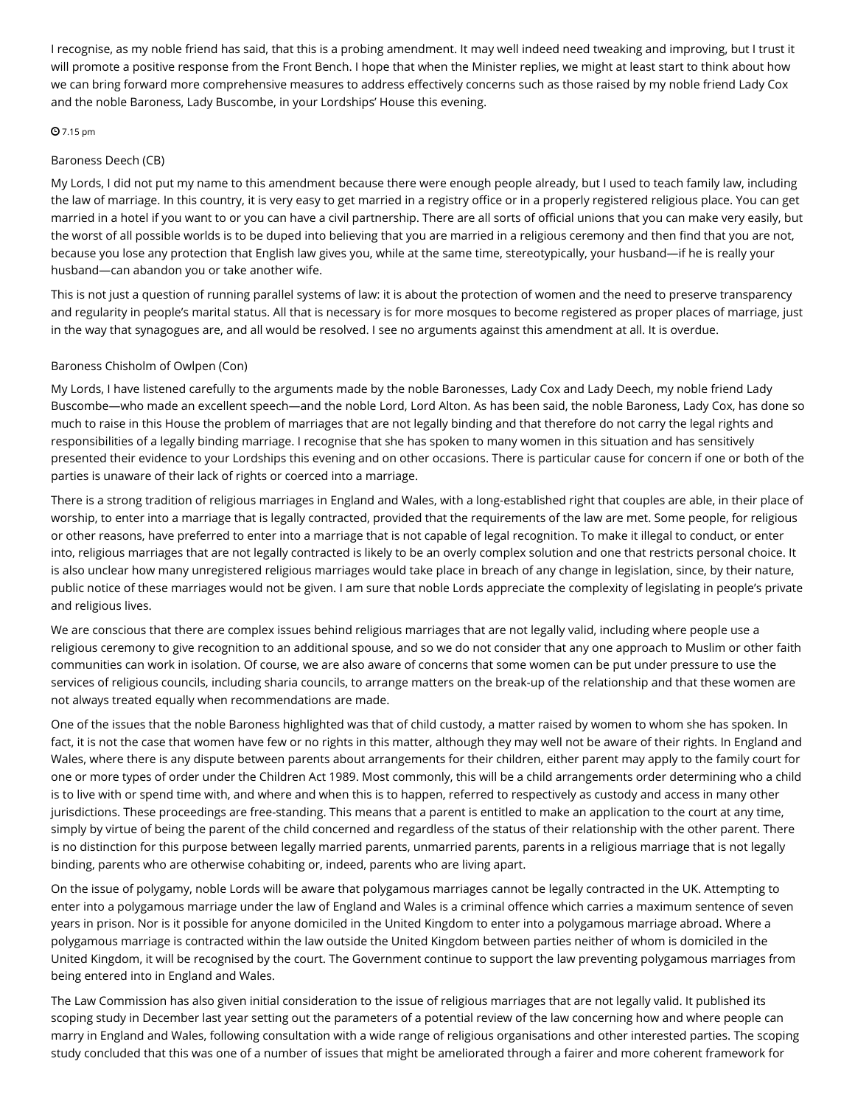I recognise, as my noble friend has said, that this is a probing amendment. It may well indeed need tweaking and improving, but I trust it will promote a positive response from the Front Bench. I hope that when the Minister replies, we might at least start to think about how we can bring forward more comprehensive measures to address effectively concerns such as those raised by my noble friend Lady Cox and the noble Baroness, Lady Buscombe, in your Lordships' House this evening.

# **0** 7.15 pm

# [Baroness](https://hansard.parliament.uk/search/MemberContributions?house=Lords&memberId=3756) Deech (CB)

My Lords, I did not put my name to this amendment because there were enough people already, but I used to teach family law, including the law of marriage. In this country, it is very easy to get married in a registry office or in a properly registered religious place. You can get married in a hotel if you want to or you can have a civil partnership. There are all sorts of official unions that you can make very easily, but the worst of all possible worlds is to be duped into believing that you are married in a religious ceremony and then find that you are not, because you lose any protection that English law gives you, while at the same time, stereotypically, your husband—if he is really your husband—can abandon you or take another wife.

This is not just a question of running parallel systems of law: it is about the protection of women and the need to preserve transparency and regularity in people's marital status. All that is necessary is for more mosques to become registered as proper places of marriage, just in the way that synagogues are, and all would be resolved. I see no arguments against this amendment at all. It is overdue.

# Baroness [Chisholm](https://hansard.parliament.uk/search/MemberContributions?house=Lords&memberId=4330) of Owlpen (Con)

My Lords, I have listened carefully to the arguments made by the noble Baronesses, Lady Cox and Lady Deech, my noble friend Lady Buscombe—who made an excellent speech—and the noble Lord, Lord Alton. As has been said, the noble Baroness, Lady Cox, has done so much to raise in this House the problem of marriages that are not legally binding and that therefore do not carry the legal rights and responsibilities of a legally binding marriage. I recognise that she has spoken to many women in this situation and has sensitively presented their evidence to your Lordships this evening and on other occasions. There is particular cause for concern if one or both of the parties is unaware of their lack of rights or coerced into a marriage.

There is a strong tradition of religious marriages in England and Wales, with a long-established right that couples are able, in their place of worship, to enter into a marriage that is legally contracted, provided that the requirements of the law are met. Some people, for religious or other reasons, have preferred to enter into a marriage that is not capable of legal recognition. To make it illegal to conduct, or enter into, religious marriages that are not legally contracted is likely to be an overly complex solution and one that restricts personal choice. It is also unclear how many unregistered religious marriages would take place in breach of any change in legislation, since, by their nature, public notice of these marriages would not be given. I am sure that noble Lords appreciate the complexity of legislating in people's private and religious lives.

We are conscious that there are complex issues behind religious marriages that are not legally valid, including where people use a religious ceremony to give recognition to an additional spouse, and so we do not consider that any one approach to Muslim or other faith communities can work in isolation. Of course, we are also aware of concerns that some women can be put under pressure to use the services of religious councils, including sharia councils, to arrange matters on the break-up of the relationship and that these women are not always treated equally when recommendations are made.

One of the issues that the noble Baroness highlighted was that of child custody, a matter raised by women to whom she has spoken. In fact, it is not the case that women have few or no rights in this matter, although they may well not be aware of their rights. In England and Wales, where there is any dispute between parents about arrangements for their children, either parent may apply to the family court for one or more types of order under the Children Act 1989. Most commonly, this will be a child arrangements order determining who a child is to live with or spend time with, and where and when this is to happen, referred to respectively as custody and access in many other jurisdictions. These proceedings are free-standing. This means that a parent is entitled to make an application to the court at any time, simply by virtue of being the parent of the child concerned and regardless of the status of their relationship with the other parent. There is no distinction for this purpose between legally married parents, unmarried parents, parents in a religious marriage that is not legally binding, parents who are otherwise cohabiting or, indeed, parents who are living apart.

On the issue of polygamy, noble Lords will be aware that polygamous marriages cannot be legally contracted in the UK. Attempting to enter into a polygamous marriage under the law of England and Wales is a criminal offence which carries a maximum sentence of seven years in prison. Nor is it possible for anyone domiciled in the United Kingdom to enter into a polygamous marriage abroad. Where a polygamous marriage is contracted within the law outside the United Kingdom between parties neither of whom is domiciled in the United Kingdom, it will be recognised by the court. The Government continue to support the law preventing polygamous marriages from being entered into in England and Wales.

The Law Commission has also given initial consideration to the issue of religious marriages that are not legally valid. It published its scoping study in December last year setting out the parameters of a potential review of the law concerning how and where people can marry in England and Wales, following consultation with a wide range of religious organisations and other interested parties. The scoping study concluded that this was one of a number of issues that might be ameliorated through a fairer and more coherent framework for